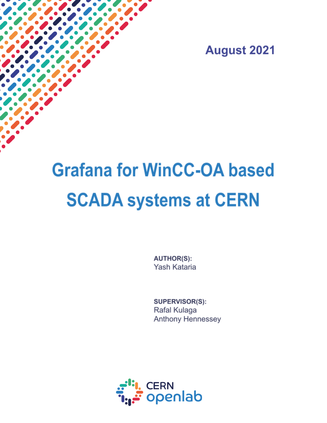**August 2021** 

# **Grafana for WinCC-OA based SCADA systems at CERN**

**AUTHOR(S):** Yash Kataria

SUPERVISOR(S): Rafal Kulaga Anthony Hennessey

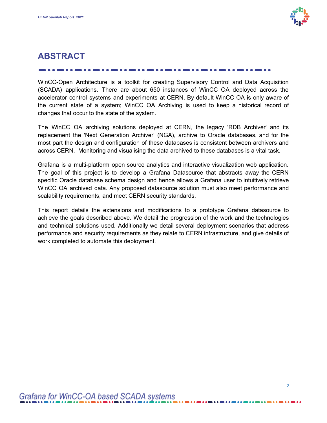

## **ABSTRACT**

WinCC-Open Architecture is a toolkit for creating Supervisory Control and Data Acquisition (SCADA) applications. There are about 650 instances of WinCC OA deployed across the accelerator control systems and experiments at CERN. By default WinCC OA is only aware of the current state of a system; WinCC OA Archiving is used to keep a historical record of changes that occur to the state of the system.

The WinCC OA archiving solutions deployed at CERN, the legacy 'RDB Archiver' and its replacement the 'Next Generation Archiver' (NGA), archive to Oracle databases, and for the most part the design and configuration of these databases is consistent between archivers and across CERN. Monitoring and visualising the data archived to these databases is a vital task.

Grafana is a multi-platform open source analytics and interactive visualization web application. The goal of this project is to develop a Grafana Datasource that abstracts away the CERN specific Oracle database schema design and hence allows a Grafana user to intuitively retrieve WinCC OA archived data. Any proposed datasource solution must also meet performance and scalability requirements, and meet CERN security standards.

This report details the extensions and modifications to a prototype Grafana datasource to achieve the goals described above. We detail the progression of the work and the technologies and technical solutions used. Additionally we detail several deployment scenarios that address performance and security requirements as they relate to CERN infrastructure, and give details of work completed to automate this deployment.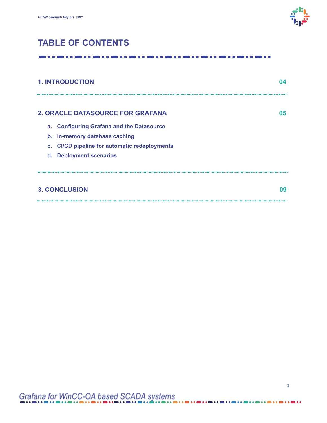

# **TABLE OF CONTENTS**

#### $\bullet\text{ \textcolor{blue}{\bullet}\text{ \textcolor{blue}{\bullet}\text{ \textcolor{blue}{\bullet}\text{ \textcolor{blue}{\bullet}\text{ \textcolor{blue}{\bullet}\text{ \textcolor{blue}{\bullet}\text{ \textcolor{blue}{\bullet}\text{ \textcolor{blue}{\bullet}\text{ \textcolor{blue}{\bullet}\text{ \textcolor{blue}{\bullet}\text{ \textcolor{blue}{\bullet}\text{ \textcolor{blue}{\bullet}\text{ \textcolor{blue}{\bullet}\text{ \textcolor{blue}{\bullet}\text{ \textcolor{blue}{\bullet}\text{ \textcolor{blue}{\bullet}\text{ \textcolor{blue}{\bullet}\text{ \textcolor{blue}{\bullet}\text{ \textcolor{blue}{\bullet}\text{ \textcolor{blue}{$

| <b>1. INTRODUCTION</b>     |                                               | 04 |
|----------------------------|-----------------------------------------------|----|
|                            | <b>2. ORACLE DATASOURCE FOR GRAFANA</b>       | 05 |
|                            | a. Configuring Grafana and the Datasource     |    |
|                            | b. In-memory database caching                 |    |
|                            | c. CI/CD pipeline for automatic redeployments |    |
|                            | d. Deployment scenarios                       |    |
|                            |                                               |    |
| <b>3. CONCLUSION</b><br>09 |                                               |    |
|                            |                                               |    |

. . . . . .

. . . . . .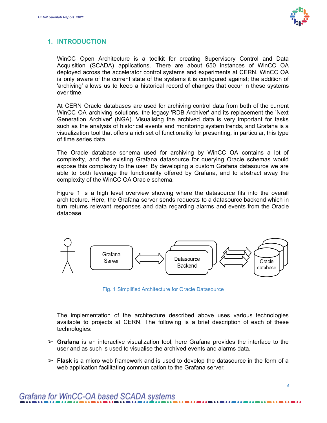

## **1. INTRODUCTION**

WinCC Open Architecture is a toolkit for creating Supervisory Control and Data Acquisition (SCADA) applications. There are about 650 instances of WinCC OA deployed across the accelerator control systems and experiments at CERN. WinCC OA is only aware of the current state of the systems it is configured against; the addition of 'archiving' allows us to keep a historical record of changes that occur in these systems over time.

At CERN Oracle databases are used for archiving control data from both of the current WinCC OA archiving solutions, the legacy 'RDB Archiver' and its replacement the 'Next Generation Archiver' (NGA). Visualising the archived data is very important for tasks such as the analysis of historical events and monitoring system trends, and Grafana is a visualization tool that offers a rich set of functionality for presenting, in particular, this type of time series data.

The Oracle database schema used for archiving by WinCC OA contains a lot of complexity, and the existing Grafana datasource for querying Oracle schemas would expose this complexity to the user. By developing a custom Grafana datasource we are able to both leverage the functionality offered by Grafana, and to abstract away the complexity of the WinCC OA Oracle schema.

Figure 1 is a high level overview showing where the datasource fits into the overall architecture. Here, the Grafana server sends requests to a datasource backend which in turn returns relevant responses and data regarding alarms and events from the Oracle database.



Fig. 1 Simplified Architecture for Oracle Datasource

The implementation of the architecture described above uses various technologies available to projects at CERN. The following is a brief description of each of these technologies:

- ➢ **Grafana** is an interactive visualization tool, here Grafana provides the interface to the user and as such is used to visualise the archived events and alarms data.
- ➢ **Flask** is a micro web framework and is used to develop the datasource in the form of a web application facilitating communication to the Grafana server.

# Grafana for WinCC-OA based SCADA systems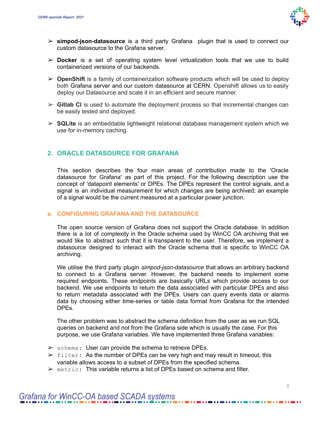

- ➢ **simpod-json-datasource** is a third party Grafana plugin that is used to connect our custom datasource to the Grafana server.
- ➢ **Docker** is a set of operating system level virtualization tools that we use to build containerized versions of our backends.
- ➢ **OpenShift** is a family of containerization software products which will be used to deploy both Grafana server and our custom datasource at CERN. Openshift allows us to easily deploy our Datasource and scale it in an efficient and secure manner.
- ➢ **Gitlab CI** is used to automate the deployment process so that incremental changes can be easily tested and deployed.
- ➢ **SQLite** is an embeddable lightweight relational database management system which we use for in-memory caching.

## **2. ORACLE DATASOURCE FOR GRAFANA**

This section describes the four main areas of contribution made to the 'Oracle datasource for Grafana' as part of this project. For the following description use the concept of 'datapoint elements' or DPEs. The DPEs represent the control signals, and a signal is an individual measurement for which changes are being archived; an example of a signal would be the current measured at a particular power junction.

#### **a. CONFIGURING GRAFANA AND THE DATASOURCE**

The open source version of Grafana does not support the Oracle database. In addition there is a lot of complexity in the Oracle schema used by WinCC OA archiving that we would like to abstract such that it is transparent to the user. Therefore, we implement a datasource designed to interact with the Oracle schema that is specific to WinCC OA archiving.

We utilise the third party plugin *simpod-json-datasource* that allows an arbitrary backend to connect to a Grafana server. However, the backend needs to implement some required endpoints. These endpoints are basically URLs which provide access to our backend. We use endpoints to return the data associated with particular DPEs and also to return metadata associated with the DPEs. Users can query events data or alarms data by choosing either time-series or table data format from Grafana for the intended DPEs.

The other problem was to abstract the schema definition from the user as we run SQL queries on backend and not from the Grafana side which is usually the case. For this purpose, we use Grafana variables. We have implemented three Grafana variables:

- $\triangleright$  schema: User can provide the schema to retrieve DPEs.
- $\triangleright$  filter: As the number of DPEs can be very high and may result in timeout, this variable allows access to a subset of DPEs from the specified schema.
- $\triangleright$  metric: This variable returns a list of DPEs based on schema and filter.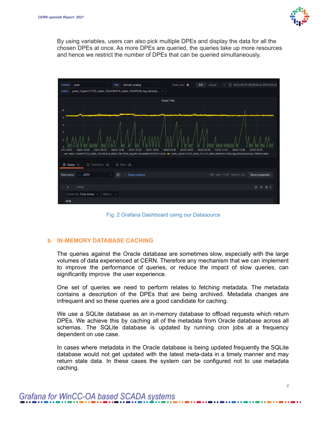

By using variables, users can also pick multiple DPEs and display the data for all the chosen DPEs at once. As more DPEs are queried, the queries take up more resources and hence we restrict the number of DPEs that can be queried simultaneously.



Fig. 2 Grafana Dashboard using our Datasource

#### **b. IN-MEMORY DATABASE CACHING**

The queries against the Oracle database are sometimes slow, especially with the large volumes of data experienced at CERN. Therefore any mechanism that we can implement to improve the performance of queries, or reduce the impact of slow queries, can significantly improve the user experience.

One set of queries we need to perform relates to fetching metadata. The metadata contains a description of the DPEs that are being archived. Metadata changes are infrequent and so these queries are a good candidate for caching.

We use a SQLite database as an in-memory database to offload requests which return DPEs. We achieve this by caching all of the metadata from Oracle database across all schemas. The SQLite database is updated by running cron jobs at a frequency dependent on use case.

In cases where metadata in the Oracle database is being updated frequently the SQLite database would not get updated with the latest meta-data in a timely manner and may return stale data. In these cases the system can be configured not to use metadata caching.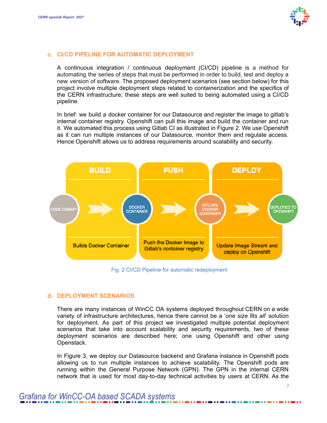

#### **c. CI/CD PIPELINE FOR AUTOMATIC DEPLOYMENT**

A continuous integration / continuous deployment (CI/CD) pipeline is a method for automating the series of steps that must be performed in order to build, test and deploy a new version of software. The proposed deployment scenarios (see section below) for this project involve multiple deployment steps related to containerization and the specifics of the CERN infrastructure; these steps are well suited to being automated using a CI/CD pipeline.

In brief: we build a docker container for our Datasource and register the image to gitlab's internal container registry. Openshift can pull this image and build the container and run it. We automated this process using Gitlab CI as illustrated in Figure 2. We use Openshift as it can run multiple instances of our Datasource, monitor them and regulate access. Hence Openshift allows us to address requirements around scalability and security.



Fig. 2 CI/CD Pipeline for automatic redeployment

#### **d. DEPLOYMENT SCENARIOS**

There are many instances of WinCC OA systems deployed throughout CERN on a wide variety of infrastructure architectures, hence there cannot be a '*one size fits all*' solution for deployment. As part of this project we investigated multiple potential deployment scenarios that take into account scalability and security requirements, two of these deployment scenarios are described here; one using Openshift and other using Openstack.

In Figure 3, we deploy our Datasource backend and Grafana instance in Openshift pods allowing us to run multiple instances to achieve scalability. The Openshift pods are running within the General Purpose Network (GPN). The GPN in the internal CERN network that is used for most day-to-day technical activities by users at CERN. As the

# Grafana for WinCC-OA based SCADA systems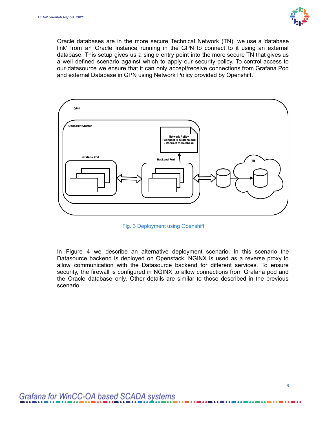

Oracle databases are in the more secure Technical Network (TN), we use a 'database link' from an Oracle instance running in the GPN to connect to it using an external database. This setup gives us a single entry point into the more secure TN that gives us a well defined scenario against which to apply our security policy. To control access to our datasource we ensure that it can only accept/receive connections from Grafana Pod and external Database in GPN using Network Policy provided by Openshift.



Fig. 3 Deployment using Openshift

In Figure 4 we describe an alternative deployment scenario. In this scenario the Datasource backend is deployed on Openstack. NGINX is used as a reverse proxy to allow communication with the Datasource backend for different services. To ensure security, the firewall is configured in NGINX to allow connections from Grafana pod and the Oracle database only. Other details are similar to those described in the previous scenario.